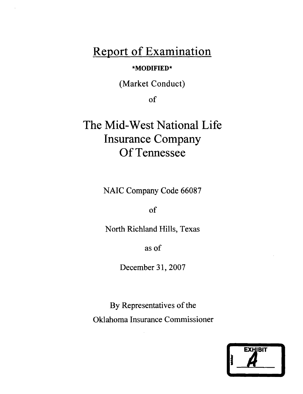## **Report of Examination**

## **\*MODIFIED\***

(Market Conduct)

of

# **The Mid-West National Life Insurance Company** Of Tennessee

NAIC Company Code 66087

of

North Richland Hills, Texas

as of

December 31,2007

By Representatives of the Oklahoma Insurance Commissioner

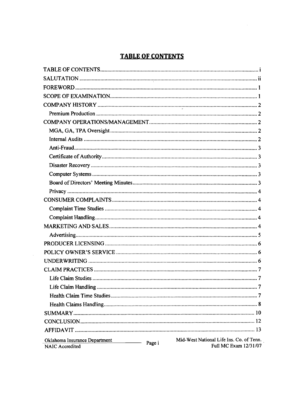### **TABLE OF CONTENTS**

 $\bar{\lambda}$ 

| Mid-West National Life Ins. Co. of Tenn.<br>Oklahoma Insurance Department<br>$\overline{\phantom{a}}$ . The contract of $\overline{\phantom{a}}$<br>Page i<br>Full MC Exam 12/31/07<br><b>NAIC</b> Accredited |
|---------------------------------------------------------------------------------------------------------------------------------------------------------------------------------------------------------------|

 $\sim$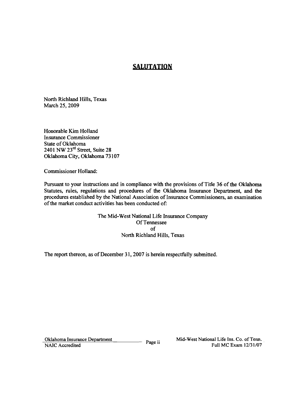### **SALUTATION**

North Richland Hills, Texas March 25, 2009

Honorable Kim Holland Insurance Commissioner State of Oklahoma 2401 NW 23rd Street, Suite 28 Oklahoma City, Oklahoma 73107

Commissioner Holland:

Pursuant to your instructions and in compliance with the provisions of Title 36 of the Oklahoma Statutes, rules, regulations and procedures of the Oklahoma Insurance Department, and the procedures established by the National Association of Insurance Commissioners, an examination of the market conduct activities has been conducted of:

> The Mid-West National Life Insurance Company Of Tennessee of North Richland Hills, Texas

The report thereon, as of December 31, 2007 is herein respectfully submitted.

Oklahoma Insurance Department<br>
Page ii Mid-West National Life Ins. Co. of Tenn.<br>
Full MC Frame 12/21/07 NAIC Accredited Full MC Exam 12/31/07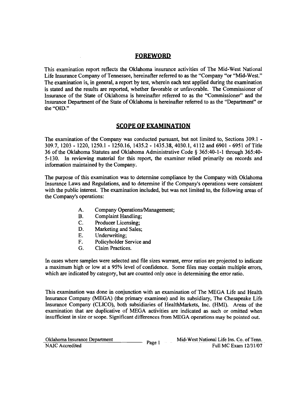### **FOREWORD**

This examination report reflects the Oklahoma insurance activities of The Mid-West National Life Insurance Company of Tennessee, hereinafter referred to as the "Company "or "Mid-West." The examination is, in general, a report by test, wherein each test applied during the examination is stated and the results are reported, whether favorable or unfavorable. The Commissioner of Insurance of the State of Oklahoma is hereinafter referred to as the "Commissioner" and the Insurance Department of the State of Oklahoma is hereinafter referred to as the "Department" or the "010."

### **SCOPE OF EXAMINATION**

The examination of the Company was conducted pursuant, but not limited to, Sections 309.1 309.7, 1203 - 1220, 1250.1 - 1250.16, 1435.2 - 1435.38,4030.1,4112 and 6901 - 6951 of Title 36 of the Oklahoma Statutes and Oklahoma Administrative Code § 365:40-1-1 through 365:40 5-130. In reviewing material for this report, the examiner relied primarily on records and information maintained by the Company.

The purpose of this examination was to determine compliance by the Company with Oklahoma Insurance Laws and Regulations, and to determine if the Company's operations were consistent with the public interest. The examination included, but was not limited to, the following areas of the Company's operations:

- A. Company Operations/Management;
- B. Complaint Handling;
- C. Producer Licensing;
- D. Marketing and Sales;<br>E. Underwriting:
- Underwriting;
- F. Policyholder Service and
- G. Claim Practices.

In cases where samples were selected and file sizes warrant, error ratios are projected to indicate a maximum high or low at a 95% level of confidence. Some files may contain multiple errors, which are indicated by category, but are counted only once in determining the error ratio.

This examination was done in conjunction with an examination of The MEGA Life and Health Insurance Company (MEGA) (the primary examinee) and its subsidiary, The Chesapeake Life Insurance Company (CLICO), both subsidiaries of HealthMarkets, Inc. (HMI). Areas of the examination that are duplicative of MEGA activities are indicated as such or omitted when insufficient in size or scope. Significant differences from MEGA operations may be pointed out.

| Oklahoma Insurance Department |        | Mid-West National Life Ins. Co. of Tenn.<br>. |
|-------------------------------|--------|-----------------------------------------------|
| NAIC Accredited               | Page 1 | Full MC Exam 12/31/07                         |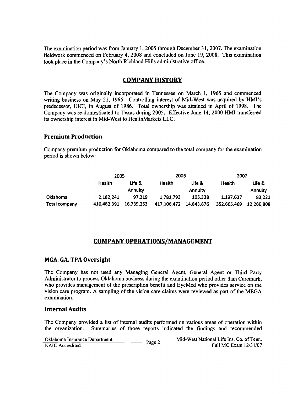The examination period was from January 1, 2005 through December 31, 2007. The examination fieldwork commenced on February 4, 2008 and concluded on June 19, 2008. This examination took place in the Company's North Richland Hills administrative office.

### **COMPANY HISTORY**

The Company was originalIy incorporated in Tennessee on March 1, 1965 and commenced writing business on May 21, 1965. Controlling interest of Mid-West was acquired by HMI's predecessor, VICI, in August of 1986. Total ownership was attained in April of 1998. The Company was re-domesticated to Texas during 2005. Effective June 14,2000 HMI transferred its ownership interest in Mid-West to HealthMarkets LLC.

### **Premium Production**

Company premium production for Oklahoma compared to the total company for the examination period is shown below:

|               | 2005          |                |             | 2006<br>2007 |             |            |  |
|---------------|---------------|----------------|-------------|--------------|-------------|------------|--|
|               | <b>Health</b> | Life &         | Health      | Life &       |             | Life &     |  |
|               |               | <b>Annuity</b> |             | Annuity      |             | Annuity    |  |
| Oklahoma      | 2.182.241     | 97.219         | 1.781.793   | 105.338      | 1,197,637   | 83,221     |  |
| Total company | 410.482.391   | 16.739.253     | 417.106.472 | 14,843,876   | 352,665,469 | 12,280,808 |  |

### **COMPANY OPERATIONS/MANAGEMENT**

### **MGA, GA, TPA Oversight**

The Company has not used any Managing General Agent, General Agent or Third Party Administrator to process Oklahoma business during the examination period other than Caremark, who provides management of the prescription benefit and EyeMed who provides service on the vision care program. A sampling of the vision care claims were reviewed as part of the MEGA examination.

### **Internal Audits**

The Company provided a list of internal audits performed on various areas of operation within the organization. Summaries of those reports indicated the findings and recommended

| Oklahoma Insurance Department | Page. | Mid-West National Life Ins. Co. of Tenn. |
|-------------------------------|-------|------------------------------------------|
| NAIC Accredited               |       | Full MC Exam 12/31/07                    |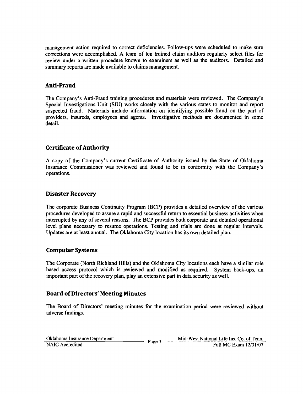management action required to correct deficiencies. Follow-ups were scheduled to make sure corrections were accomplished. A team of ten trained claim auditors regularly select files for review under a written procedure known to examiners as well as the auditors. Detailed and summary reports are made available to claims management.

### **Anti-Fraud**

The Company's Anti-Fraud training procedures and materials were reviewed. The Company's Special Investigations Unit (SIU) works closely with the various states to monitor and report suspected fraud. Materials include information on identifying possible fraud on the part of providers, insureds, employees and agents. Investigative methods are documented in some detail.

### **Certificate ofAuthority**

A copy of the Company's current Certificate of Authority issued by the State of Oklahoma Insurance Commissioner was reviewed and found to be in conformity with the Company's operations.

### **Disaster Recovery**

The corporate Business Continuity Program (BCP) provides a detailed overview of the various procedures developed to assure a rapid and successful return to essential business activities when interrupted by any of several reasons. The BCP provides both corporate and detailed operational level plans necessary to resume operations. Testing and trials are done at regular intervals. Updates are at least annual. The Oklahoma City location has its own detailed plan.

### **Computer Systems**

The Corporate (North Richland Hills) and the Oklahoma City locations each have a similar role based access protocol which is reviewed and modified as required. System back-ups, an important part of the recovery plan, play an extensive part in data security as well.

### **Board of Directors' Meeting Minutes**

The Board of Directors' meeting minutes for the examination period were reviewed without adverse findings.

| Oklahoma Insurance Department |      | Mid-West National Life Ins. Co. of Tenn. |
|-------------------------------|------|------------------------------------------|
| NAIC Accredited               | Page | Full MC Exam 12/31/07                    |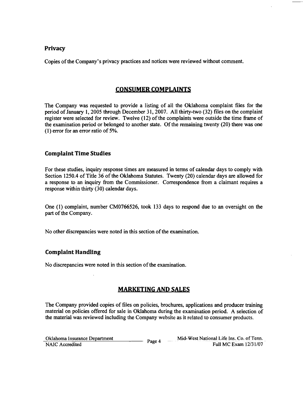### **Privacy**

Copies of the Company's privacy practices and notices were reviewed without comment.

### **CONSUMER COMPLAINTS**

The Company was requested to provide a listing of all the Oklahoma complaint files for the period of January 1,2005 through December 31, 2007. All thirty-two (32) files on the complaint register were selected for review. Twelve (12) of the complaints were outside the time frame of the examination period or belonged to another state. Of the remaining twenty  $(20)$  there was one (I) error for an error ratio of 5%.

### **Complaint Time Studies**

For these studies, inquiry response times are measured in terms of calendar days to comply with Section 1250.4 of Title 36 of the Oklahoma Statutes. Twenty (20) calendar days are allowed for a response to an inquiry from the Commissioner. Correspondence from a claimant requires a response within thirty (30) calendar days.

One (I) complaint, number CM0766526, took 133 days to respond due to an oversight on the part of the Company.

No other discrepancies were noted in this section of the examination.

### **Complaint Handling**

No discrepancies were noted in this section of the examination.

### **MARKETING AND SALES**

The Company provided copies of files on policies, brochures, applications and producer training material on policies offered for sale in Oklahoma during the examination period. A selection of the material was reviewed including the Company website as it related to consumer products.

| Oklahoma Insurance Department | Page 4 | Mid-West National Life Ins. Co. of Tenn. |
|-------------------------------|--------|------------------------------------------|
| NAIC Accredited               |        | Full MC Exam 12/31/07                    |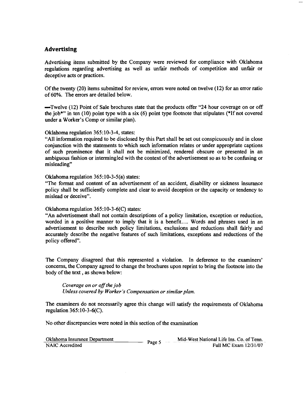### **Advertising**

Advertising items submitted by the Company were reviewed for compliance with Oklahoma regulations regarding advertising as well as unfair methods of competition and unfair or deceptive acts or practices.

Ofthe twenty (20) items submitted for review, errors were noted on twelve (12) for an error ratio of60%. The errors are detailed below.

-Twelve (12) Point of Sale brochures state that the products offer "24 hour coverage on or off the job\*" in ten (10) point type with a six (6) point type footnote that stipulates (\*If not covered under a Worker's Comp or similar plan).

Oklahoma regulation 365:10-3-4, states:

"All information required to be disclosed by this Part shall be set out conspicuously and in close conjunction with the statements to which such information relates or under appropriate captions of such prominence that it shall not be minimized, rendered obscure or presented in an ambiguous fashion or intermingled with the context of the advertisement so as to be confusing or misleading"

Oklahoma regulation 365:10-3-5(a) states:

"The format and content of an advertisement of an accident, disability or sickness insurance policy shall be sufficiently complete and clear to avoid deception or the capacity or tendency to mislead or deceive".

#### Oklahoma regulation 365:10-3-6(C) states:

"An advertisement shall not contain descriptions of a policy limitation, exception or reduction, worded in a positive manner to imply that it is a benefit.... Words and phrases used in an advertisement to describe such policy limitations, exclusions and reductions shall fairly and accurately describe the negative features of such limitations, exceptions and reductions of the policy offered".

The Company disagreed that this represented a violation. In deference to the examiners' concerns, the Company agreed to change the brochures upon reprint to bring the footnote into the body of the text, as shown below:

Coverage on or off the job *Unless covered by Worker's Compensation or similar plan.* 

The examiners do not necessarily agree this change will satisfy the requirements of Oklahoma regulation 365:10-3-6(C).

No other discrepancies were noted in this section of the examination

| Oklahoma Insurance Department | Page. | Mid-West National Life Ins. Co. of Tenn. |
|-------------------------------|-------|------------------------------------------|
| NAIC Accredited               |       | Full MC Exam 12/31/07                    |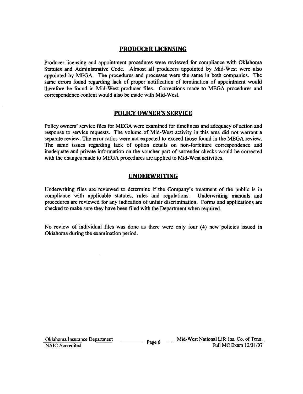### **PRODUCER LICENSING**

Producer licensing and appointment procedures were reviewed for compliance with Oklahoma Statutes and Administrative Code. Almost all producers appointed by Mid-West were also appointed by MEGA. The procedures and processes were the same in both companies. The same errors found regarding lack of proper notification of termination of appointment would therefore be found in Mid-West producer files. Corrections made to MEGA procedures and correspondence content would also be made with Mid-West.

### **POLICY OWNER'S SERViCE**

Policy owners' service files for MEGA were examined for timeliness and adequacy of action and response to service requests. The volume of Mid-West activity in this area did not warrant a separate review. The error ratios were not expected to exceed those found in the MEGA review. The same issues regarding lack of option details on non-forfeiture correspondence and inadequate and private information on the voucher part of surrender checks would be corrected with the changes made to MEGA procedures are applied to Mid-West activities.

### **UNDERWRITING**

Underwriting files are reviewed to determine if the Company's treatment of the public is in compliance with applicable statutes, rules and regulations. Underwriting manuals and compliance with applicable statutes, rules and regulations. procedures are reviewed for any indication of unfair discrimination. Forms and applications are checked to make sure they have been filed with the Department when required.

No review of individual files was done as there were only four (4) new policies issued in Oklahoma during the examination period.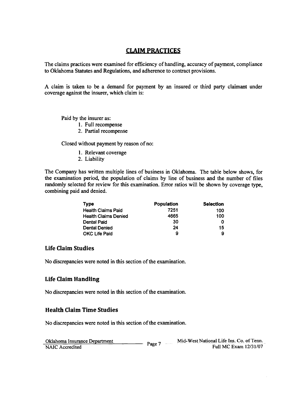### **CLAIM PRACTICES**

The claims practices were examined for efficiency of handling, accuracy of payment, compliance to Oklahoma Statutes and Regulations, and adherence to contract provisions.

A claim is taken to be a demand for payment by an insured or third party claimant under coverage against the insurer, which claim is:

Paid by the insurer as:

- 1. Full recompense
- 2. Partial recompense

Closed without payment by reason of no:

- 1. Relevant coverage
- 2. Liability

The Company has written multiple lines of business in Oklahoma. The table below shows, for the examination period, the population of claims by line of business and the number of files randomly selected for review for this examination. Error ratios will be shown by coverage type, combining paid and denied.

| <b>Type</b>                 | <b>Population</b> | <b>Selection</b> |
|-----------------------------|-------------------|------------------|
| <b>Health Claims Paid</b>   | 7251              | 100              |
| <b>Health Claims Denied</b> | 4665              | 100              |
| Dental Paid                 | 30                |                  |
| Dental Denied               | 24                | 15               |
| <b>OKC Life Paid</b>        | 9                 | 9                |

### **Life Claim Studies**

No discrepancies were noted in this section of the examination.

### **Life Claim Handling**

No discrepancies were noted in this section of the examination.

### **Health Claim Time Studies**

No discrepancies were noted in this section of the examination.

| Oklahoma Insurance Department | Page | Mid-West National Life Ins. Co. of Tenn. |
|-------------------------------|------|------------------------------------------|
| NAIC Accredited               |      | Full MC Exam 12/31/07                    |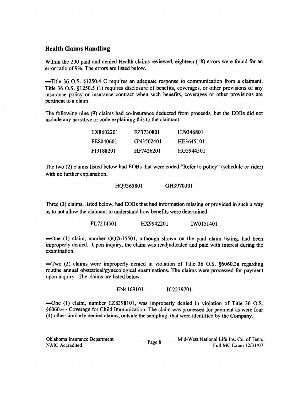### **Health Claims Handling**

Within the 200 paid and denied Health claims reviewed, eighteen (18) errors were found for an error ratio of9%. The errors are listed below.

-Title 36 O.S. §1250A C requires an adequate response to communication from a claimant. Title 36 0.8. §I250.5 (1) requires disclosure of benefits, coverages, or other provisions of any insurance policy or insurance contract when such benefits, coverages or other provisions are pertinent to a claim.

The following nine (9) claims had co-insurance deducted from proceeds, but the EOBs did not include any narrative or code explaining this to the claimant.

| EX8602201 | FZ3730801 | HJ9346801 |
|-----------|-----------|-----------|
| FE8040601 | GN3502401 | HE3645101 |
| FI9188201 | HF7426201 | HG5944501 |

The two (2) claims listed below had EOBs that were coded "Refer to policy" (schedule or rider) with no further explanation.

HQ936580I GH397030I

Three (3) claims, listed below, had EOBs that had information missing or provided in such a way as to not allow the claimant to understand how benefits were determined.

FL72I450I HX994220I IWOI5I40I

-One (1) claim, number GQ76I550I, although shown on the paid claim listing, had been improperly denied. Upon inquiry, the claim was readjudicated and paid with interest during the examination.

 $-$ Two (2) claims were improperly denied in violation of Title 36 O.S.  $§6060.3a$  regarding routine annual obstetrical/gynecological examinations. The claims were processed for payment upon inquiry. The claims are listed below.

#### EN4I6910I IC223970I

-One (1) claim, number EZ8398IOI, was improperly denied in violation of Title 36 O.S. §6060A - Coverage for Child Immunization. The claim was processed for payment as were four (4) other similarly denied claims, outside the sampling, that were identified by the Company.

| Oklahoma Insurance Department | Page 8 | Mid-West National Life Ins. Co. of Tenn. |
|-------------------------------|--------|------------------------------------------|
| NAIC Accredited               |        | Full MC Exam 12/31/07                    |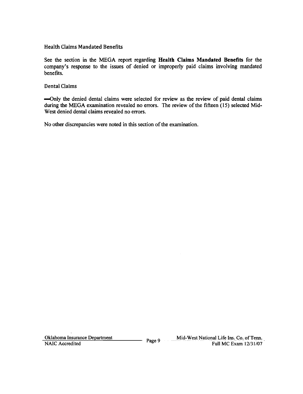### Health Claims Mandated Benefits

See the section in the MEGA report regarding Health Claims Mandated Benefits for the company's response to the issues of denied or improperly paid claims involving mandated benefits.

### Dental Claims

-Only the denied dental claims were selected for review as the review of paid dental claims during the MEGA examination revealed no errors. The review of the fifteen (15) selected Mid-West denied dental claims revealed no errors.

No other discrepancies were noted in this section of the examination.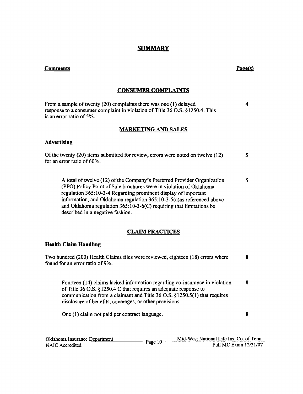### **SUMMARY**

### **Comments** Page(s)

### **CONSUMER COMPLAINTS**

From a sample of twenty (20) complaints there was one (1) delayed response to a consumer complaint in violation of Title 36 O.S. §1250.4. This is an error ratio of 5%. 4

### **MARKETING AND SALES**

#### **Advertising**

| Of the twenty $(20)$ items submitted for review, errors were noted on twelve $(12)$ |  |
|-------------------------------------------------------------------------------------|--|
| for an error ratio of 60%.                                                          |  |
|                                                                                     |  |

A total of twelve (12) of the Company's Preferred Provider Organization (PPO) Policy Point of Sale brochures were in violation of Oklahoma regulation 365:10-3-4 Regarding prominent display of important information, and Oklahoma regulation 365:10-3-5(a)as referenced above and Oklahoma regulation 365:10-3-6(C) requiring that limitations be described in a negative fashion. 5

### **CLAIM PRACTICES**

#### **Health Claim Handling**

Two hundred (200) Health Claims files were reviewed, eighteen (18) errors where found for an error ratio of9%. 8

Fourteen (14) claims lacked information regarding co-insurance in violation ofTitle 36 O.S. §1250.4 C that requires an adequate response to communication from a claimant and Title 36 O.S. §1250.5(1) that requires disclosure of benefits, coverages, or other provisions. 8

One (1) claim not paid per contract language. 8

| Oklahoma Insurance Department | Page 10 | Mid-West National Life Ins. Co. of Tenn. |
|-------------------------------|---------|------------------------------------------|
| NAIC Accredited               |         | Full MC Exam 12/31/07                    |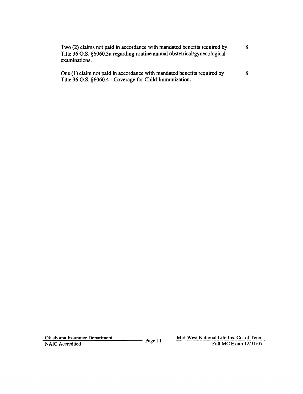| Two (2) claims not paid in accordance with mandated benefits required by<br>Title 36 O.S. §6060.3a regarding routine annual obstetrical/gynecological<br>examinations. |  |
|------------------------------------------------------------------------------------------------------------------------------------------------------------------------|--|
| One (1) claim not paid in accordance with mandated benefits required by                                                                                                |  |

One (1) claim not paid in accordance with mandated benefits required by Title 36 O.S. §6060.4 - Coverage for Child Immunization.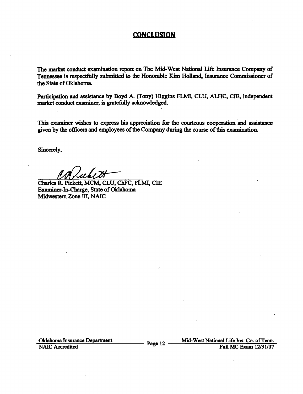### **CONCLUSION**

The market conduct examination report on The Mid-West National Life Insurance Company of Tennessee is respectfully submitted to the Honorable Kim Holland, Insurance Commissioner of the State of Oklahoma.

Participation and assistance by Boyd A. (Tony) Higgins FLMI, CLU, ALHC, CIE, independent market conduct examiner, is gratefully acknowledged.

This examiner wishes to express his appreciation for the courteous cooperation and assistance given by the officers and employees of the Company during the course of this examination.

Sincerely,

Charles R. Pickett, MCM, CLU, ChFC, FLMI, CIE Examiner-In-Charge, State of Oklahoma Midwestern Zone III, NAIC

-:O===Id7=ah::=::o;;=ma=Insuran~:..::::=-:ce=-=-=D=-=epartm~=e=n:.:....t Page 12 \_---=Mi=·d;...-W,;";".;;;:est:;.;;..:,,,;N=ati=.;·o::.::nal==-::L~ffi::.:::e:-=Ins==-. -=Co.;;;.~o~f-==~~enn::===-. Full MC Exam 12/31/07